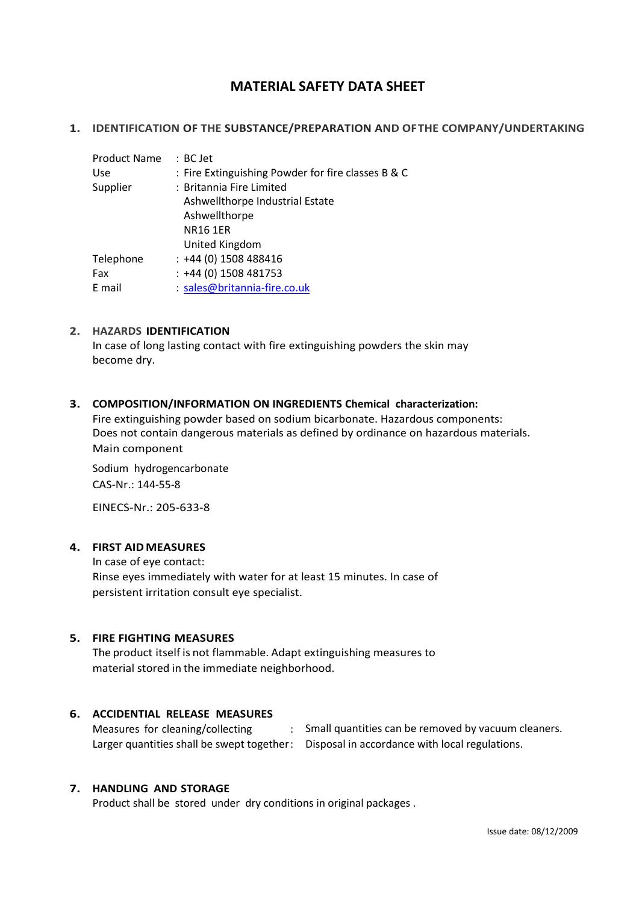# **MATERIAL SAFETY DATA SHEET**

### **1. IDENTIFICATION OF THE SUBSTANCE/PREPARATION AND OFTHE COMPANY/UNDERTAKING**

| <b>Product Name</b> | : BC Jet                                           |
|---------------------|----------------------------------------------------|
| <b>Use</b>          | : Fire Extinguishing Powder for fire classes B & C |
| Supplier            | : Britannia Fire Limited                           |
|                     | Ashwellthorpe Industrial Estate                    |
|                     | Ashwellthorpe                                      |
|                     | <b>NR16 1ER</b>                                    |
|                     | United Kingdom                                     |
| Telephone           | $: +44(0)$ 1508 488416                             |
| Fax                 | $: +44(0)$ 1508 481753                             |
| E mail              | : sales@britannia-fire.co.uk                       |
|                     |                                                    |

### **2. HAZARDS IDENTIFICATION**

In case of long lasting contact with fire extinguishing powders the skin may become dry.

### **3. COMPOSITION/INFORMATION ON INGREDIENTS Chemical characterization:**

Fire extinguishing powder based on sodium bicarbonate. Hazardous components: Does not contain dangerous materials as defined by ordinance on hazardous materials. Main component

Sodium hydrogencarbonate CAS-Nr.: 144-55-8

EINECS-Nr.: 205-633-8

# **4. FIRST AIDMEASURES**

In case of eye contact: Rinse eyes immediately with water for at least 15 minutes. In case of persistent irritation consult eye specialist.

# **5. FIRE FIGHTING MEASURES**

The product itself is not flammable. Adapt extinguishing measures to material stored in the immediate neighborhood.

# **6. ACCIDENTIAL RELEASE MEASURES**

Measures for cleaning/collecting : Small quantities can be removed by vacuum cleaners. Larger quantities shall be swept together: Disposal in accordance with local regulations.

# **7. HANDLING AND STORAGE**

Product shall be stored under dry conditions in original packages .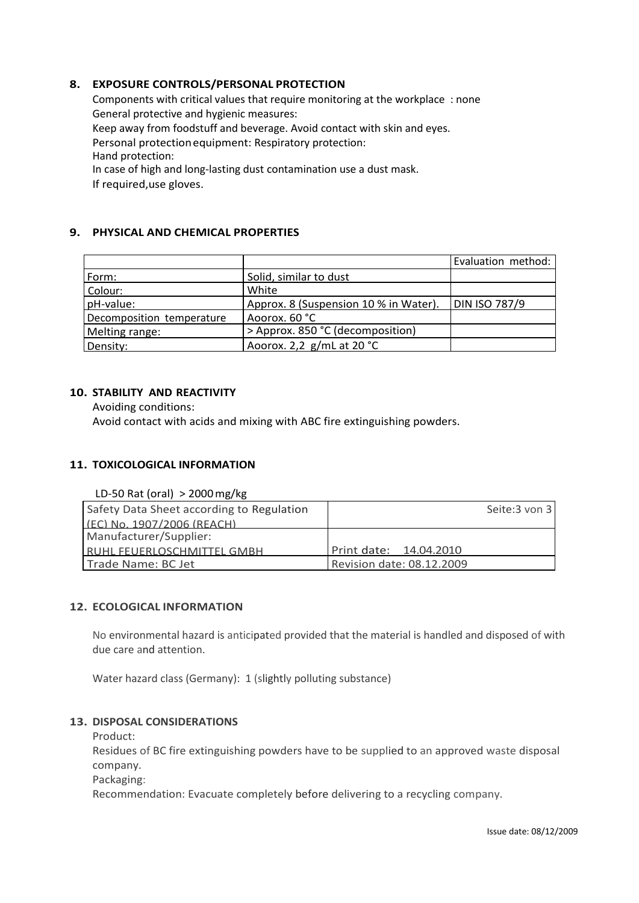# **8. EXPOSURE CONTROLS/PERSONAL PROTECTION**

Components with critical values that require monitoring at the workplace : none General protective and hygienic measures: Keep away from foodstuff and beverage. Avoid contact with skin and eyes. Personal protectionequipment: Respiratory protection: Hand protection: In case of high and long-lasting dust contamination use a dust mask. If required,use gloves.

# **9. PHYSICAL AND CHEMICAL PROPERTIES**

|                           |                                       | Evaluation method: |
|---------------------------|---------------------------------------|--------------------|
| Form:                     | Solid, similar to dust                |                    |
| Colour:                   | White                                 |                    |
| pH-value:                 | Approx. 8 (Suspension 10 % in Water). | DIN ISO 787/9      |
| Decomposition temperature | Aoorox. 60 °C                         |                    |
| Melting range:            | > Approx. 850 °C (decomposition)      |                    |
| Density:                  | Aoorox. 2,2 $g/mL$ at 20 °C           |                    |

# **10. STABILITY AND REACTIVITY**

Avoiding conditions: Avoid contact with acids and mixing with ABC fire extinguishing powders.

# **11. TOXICOLOGICAL INFORMATION**

LD-50 Rat (oral) > 2000mg/kg

| Safety Data Sheet according to Regulation | Seite:3 von 3             |
|-------------------------------------------|---------------------------|
| $(FC)$ No. 1907/2006 (RFACH)              |                           |
| Manufacturer/Supplier:                    |                           |
| <b>IRUHL FFUFRLOSCHMITTFL GMBH</b>        | Print date: 14.04.2010    |
| Trade Name: BC Jet                        | Revision date: 08.12.2009 |

# **12. ECOLOGICAL INFORMATION**

No environmental hazard is anticipated provided that the material is handled and disposed of with due care and attention.

Water hazard class (Germany): 1 (slightly polluting substance)

# **13. DISPOSAL CONSIDERATIONS**

Product:

Residues of BC fire extinguishing powders have to be supplied to an approved waste disposal company.

Packaging:

Recommendation: Evacuate completely before delivering to a recycling company.